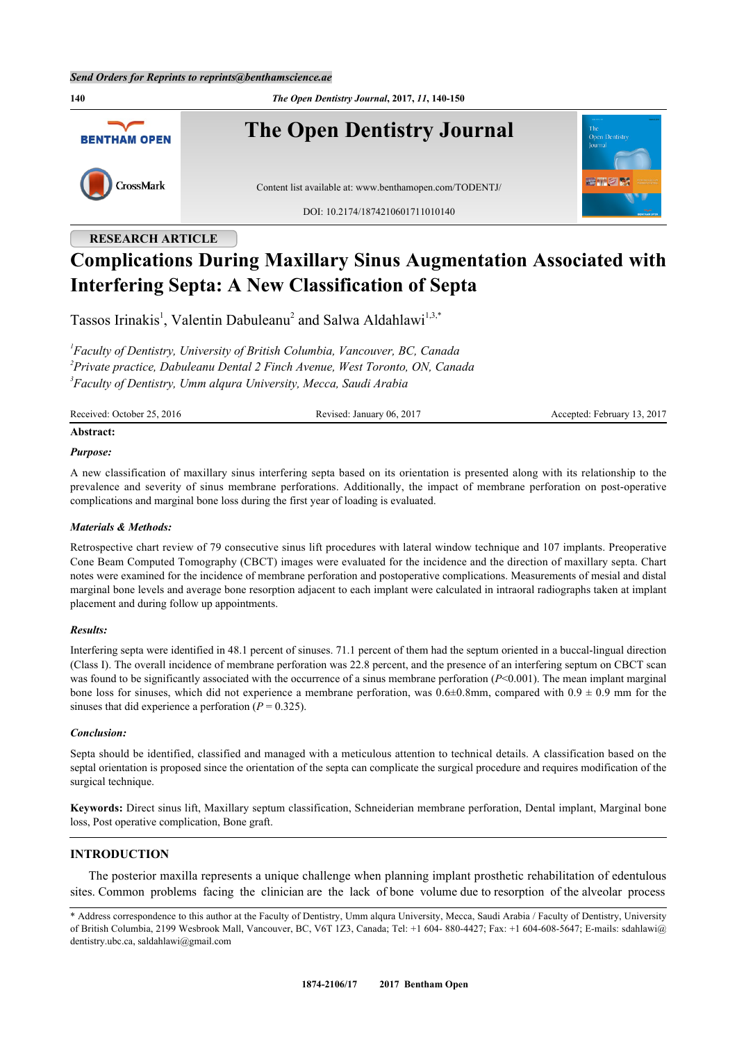**140** *The Open Dentistry Journal***, 2017,** *11***, 140-150 The Open Dentistry Journal BENTHAM OPEN** CrossMark Content list available at: [www.benthamopen.com/TODENTJ/](http://www.benthamopen.com/TODENTJ/) DOI: [10.2174/1874210601711010140](http://dx.doi.org/10.2174/1874210601711010140)

# **RESEARCH ARTICLE**

# **Complications During Maxillary Sinus Augmentation Associated with Interfering Septa: A New Classification of Septa**

Tassos Irinakis<sup>[1](#page-0-0)</sup>, Valentin Dabuleanu<sup>[2](#page-0-1)</sup> and Salwa Aldahlawi<sup>[1,](#page-0-0)[3](#page-0-2)[,\\*](#page-0-3)</sup>

<span id="page-0-2"></span><span id="page-0-1"></span><span id="page-0-0"></span>*1 Faculty of Dentistry, University of British Columbia, Vancouver, BC, Canada 2 Private practice, Dabuleanu Dental 2 Finch Avenue, West Toronto, ON, Canada 3 Faculty of Dentistry, Umm alqura University, Mecca, Saudi Arabia*

Received: October 25, 2016 Revised: January 06, 2017 Accepted: February 13, 2017

# **Abstract:** *Purpose:*

A new classification of maxillary sinus interfering septa based on its orientation is presented along with its relationship to the prevalence and severity of sinus membrane perforations. Additionally, the impact of membrane perforation on post-operative complications and marginal bone loss during the first year of loading is evaluated.

#### *Materials & Methods:*

Retrospective chart review of 79 consecutive sinus lift procedures with lateral window technique and 107 implants. Preoperative Cone Beam Computed Tomography (CBCT) images were evaluated for the incidence and the direction of maxillary septa. Chart notes were examined for the incidence of membrane perforation and postoperative complications. Measurements of mesial and distal marginal bone levels and average bone resorption adjacent to each implant were calculated in intraoral radiographs taken at implant placement and during follow up appointments.

#### *Results:*

Interfering septa were identified in 48.1 percent of sinuses. 71.1 percent of them had the septum oriented in a buccal-lingual direction (Class I). The overall incidence of membrane perforation was 22.8 percent, and the presence of an interfering septum on CBCT scan was found to be significantly associated with the occurrence of a sinus membrane perforation (*P*<0.001). The mean implant marginal bone loss for sinuses, which did not experience a membrane perforation, was  $0.6\pm0.8$ mm, compared with  $0.9 \pm 0.9$  mm for the sinuses that did experience a perforation  $(P = 0.325)$ .

#### *Conclusion:*

Septa should be identified, classified and managed with a meticulous attention to technical details. A classification based on the septal orientation is proposed since the orientation of the septa can complicate the surgical procedure and requires modification of the surgical technique.

**Keywords:** Direct sinus lift, Maxillary septum classification, Schneiderian membrane perforation, Dental implant, Marginal bone loss, Post operative complication, Bone graft.

# **INTRODUCTION**

The posterior maxilla represents a unique challenge when planning implant prosthetic rehabilitation of edentulous sites. Common problems facing the clinician are the lack of bone volume due to resorption of the alveolar process

<span id="page-0-3"></span><sup>\*</sup> Address correspondence to this author at the Faculty of Dentistry, Umm alqura University, Mecca, Saudi Arabia / Faculty of Dentistry, University of British Columbia, 2199 Wesbrook Mall, Vancouver, BC, V6T 1Z3, Canada; Tel: +1 604- 880-4427; Fax: +1 604-608-5647; E-mails: [sdahlawi@](mailto:sdahlawi@dentistry.ubc.ca) [dentistry.ubc.ca](mailto:sdahlawi@dentistry.ubc.ca), [saldahlawi@gmail.com](mailto:saldahlawi@gmail.com)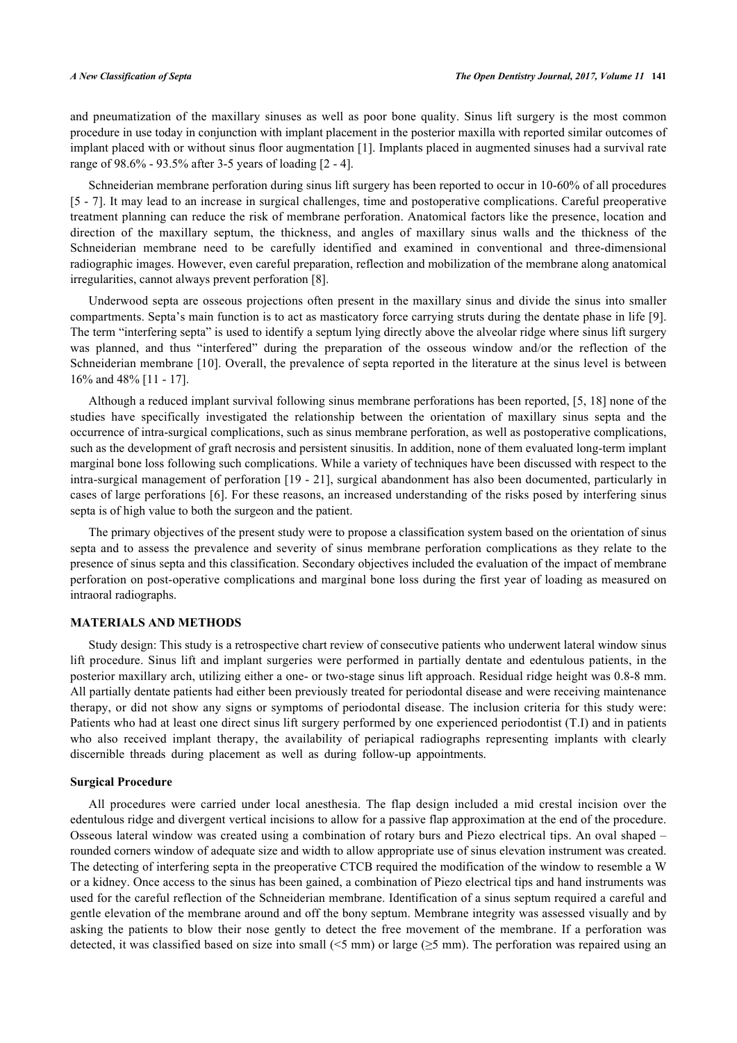and pneumatization of the maxillary sinuses as well as poor bone quality. Sinus lift surgery is the most common procedure in use today in conjunction with implant placement in the posterior maxilla with reported similar outcomes of implant placed with or without sinus floor augmentation [[1\]](#page-8-0). Implants placed in augmented sinuses had a survival rate range of 98.6% - 93.5% after 3-5 years of loading [[2](#page-8-1) - [4\]](#page-9-0).

Schneiderian membrane perforation during sinus lift surgery has been reported to occur in 10-60% of all procedures [\[5](#page-9-1) - [7\]](#page-9-2). It may lead to an increase in surgical challenges, time and postoperative complications. Careful preoperative treatment planning can reduce the risk of membrane perforation. Anatomical factors like the presence, location and direction of the maxillary septum, the thickness, and angles of maxillary sinus walls and the thickness of the Schneiderian membrane need to be carefully identified and examined in conventional and three-dimensional radiographic images. However, even careful preparation, reflection and mobilization of the membrane along anatomical irregularities, cannot always prevent perforation [[8\]](#page-9-3).

Underwood septa are osseous projections often present in the maxillary sinus and divide the sinus into smaller compartments. Septa's main function is to act as masticatory force carrying struts during the dentate phase in life [[9\]](#page-9-4). The term "interfering septa" is used to identify a septum lying directly above the alveolar ridge where sinus lift surgery was planned, and thus "interfered" during the preparation of the osseous window and/or the reflection of the Schneiderian membrane [[10\]](#page-9-5). Overall, the prevalence of septa reported in the literature at the sinus level is between 16% and 48% [[11](#page-9-6) - [17\]](#page-9-7).

Although a reduced implant survival following sinus membrane perforations has been reported, [\[5](#page-9-1), [18\]](#page-9-8) none of the studies have specifically investigated the relationship between the orientation of maxillary sinus septa and the occurrence of intra-surgical complications, such as sinus membrane perforation, as well as postoperative complications, such as the development of graft necrosis and persistent sinusitis. In addition, none of them evaluated long-term implant marginal bone loss following such complications. While a variety of techniques have been discussed with respect to the intra-surgical management of perforation [\[19](#page-9-9) - [21](#page-9-10)], surgical abandonment has also been documented, particularly in cases of large perforations [[6\]](#page-9-11). For these reasons, an increased understanding of the risks posed by interfering sinus septa is of high value to both the surgeon and the patient.

The primary objectives of the present study were to propose a classification system based on the orientation of sinus septa and to assess the prevalence and severity of sinus membrane perforation complications as they relate to the presence of sinus septa and this classification. Secondary objectives included the evaluation of the impact of membrane perforation on post-operative complications and marginal bone loss during the first year of loading as measured on intraoral radiographs.

## **MATERIALS AND METHODS**

Study design: This study is a retrospective chart review of consecutive patients who underwent lateral window sinus lift procedure. Sinus lift and implant surgeries were performed in partially dentate and edentulous patients, in the posterior maxillary arch, utilizing either a one- or two-stage sinus lift approach. Residual ridge height was 0.8-8 mm. All partially dentate patients had either been previously treated for periodontal disease and were receiving maintenance therapy, or did not show any signs or symptoms of periodontal disease. The inclusion criteria for this study were: Patients who had at least one direct sinus lift surgery performed by one experienced periodontist (T.I) and in patients who also received implant therapy, the availability of periapical radiographs representing implants with clearly discernible threads during placement as well as during follow-up appointments.

#### **Surgical Procedure**

All procedures were carried under local anesthesia. The flap design included a mid crestal incision over the edentulous ridge and divergent vertical incisions to allow for a passive flap approximation at the end of the procedure. Osseous lateral window was created using a combination of rotary burs and Piezo electrical tips. An oval shaped – rounded corners window of adequate size and width to allow appropriate use of sinus elevation instrument was created. The detecting of interfering septa in the preoperative CTCB required the modification of the window to resemble a W or a kidney. Once access to the sinus has been gained, a combination of Piezo electrical tips and hand instruments was used for the careful reflection of the Schneiderian membrane. Identification of a sinus septum required a careful and gentle elevation of the membrane around and off the bony septum. Membrane integrity was assessed visually and by asking the patients to blow their nose gently to detect the free movement of the membrane. If a perforation was detected, it was classified based on size into small ( $\leq 5$  mm) or large ( $\geq 5$  mm). The perforation was repaired using an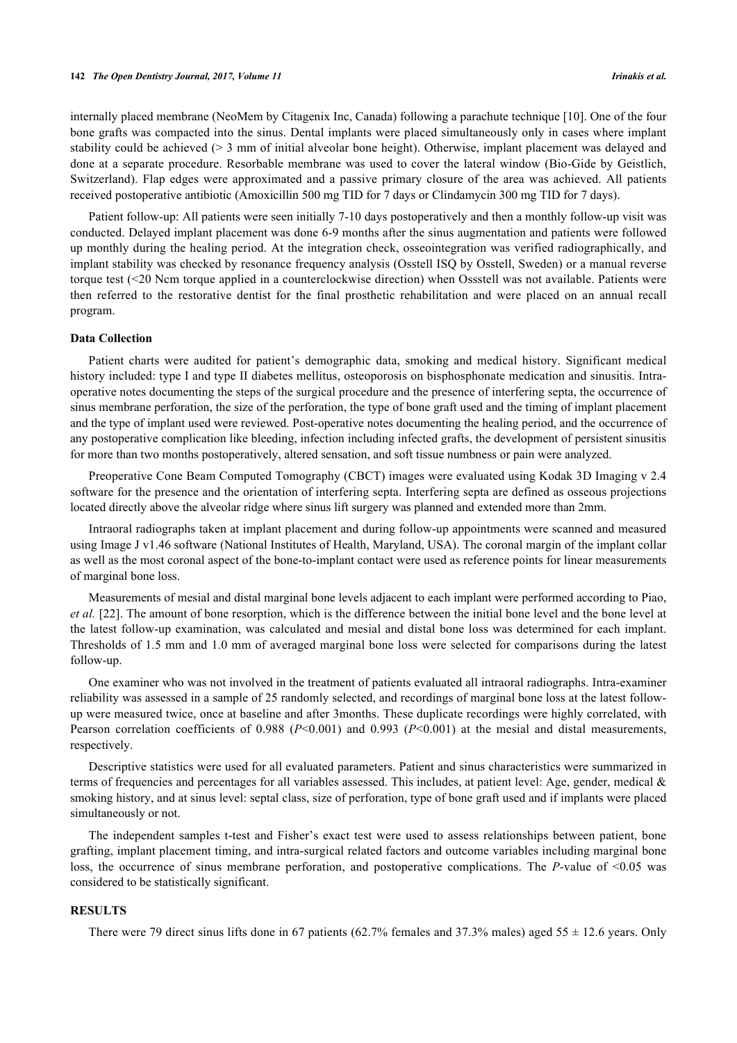internally placed membrane (NeoMem by Citagenix Inc, Canada) following a parachute technique [\[10](#page-9-5)]. One of the four bone grafts was compacted into the sinus. Dental implants were placed simultaneously only in cases where implant stability could be achieved (> 3 mm of initial alveolar bone height). Otherwise, implant placement was delayed and done at a separate procedure. Resorbable membrane was used to cover the lateral window (Bio-Gide by Geistlich, Switzerland). Flap edges were approximated and a passive primary closure of the area was achieved. All patients received postoperative antibiotic (Amoxicillin 500 mg TID for 7 days or Clindamycin 300 mg TID for 7 days).

Patient follow-up: All patients were seen initially 7-10 days postoperatively and then a monthly follow-up visit was conducted. Delayed implant placement was done 6-9 months after the sinus augmentation and patients were followed up monthly during the healing period. At the integration check, osseointegration was verified radiographically, and implant stability was checked by resonance frequency analysis (Osstell ISQ by Osstell, Sweden) or a manual reverse torque test (<20 Ncm torque applied in a counterclockwise direction) when Ossstell was not available. Patients were then referred to the restorative dentist for the final prosthetic rehabilitation and were placed on an annual recall program.

## **Data Collection**

Patient charts were audited for patient's demographic data, smoking and medical history. Significant medical history included: type I and type II diabetes mellitus, osteoporosis on bisphosphonate medication and sinusitis. Intraoperative notes documenting the steps of the surgical procedure and the presence of interfering septa, the occurrence of sinus membrane perforation, the size of the perforation, the type of bone graft used and the timing of implant placement and the type of implant used were reviewed. Post-operative notes documenting the healing period, and the occurrence of any postoperative complication like bleeding, infection including infected grafts, the development of persistent sinusitis for more than two months postoperatively, altered sensation, and soft tissue numbness or pain were analyzed.

Preoperative Cone Beam Computed Tomography (CBCT) images were evaluated using Kodak 3D Imaging v 2.4 software for the presence and the orientation of interfering septa. Interfering septa are defined as osseous projections located directly above the alveolar ridge where sinus lift surgery was planned and extended more than 2mm.

Intraoral radiographs taken at implant placement and during follow-up appointments were scanned and measured using Image J v1.46 software (National Institutes of Health, Maryland, USA). The coronal margin of the implant collar as well as the most coronal aspect of the bone-to-implant contact were used as reference points for linear measurements of marginal bone loss.

Measurements of mesial and distal marginal bone levels adjacent to each implant were performed according to Piao, *et al.* [\[22\]](#page-9-12). The amount of bone resorption, which is the difference between the initial bone level and the bone level at the latest follow-up examination, was calculated and mesial and distal bone loss was determined for each implant. Thresholds of 1.5 mm and 1.0 mm of averaged marginal bone loss were selected for comparisons during the latest follow-up.

One examiner who was not involved in the treatment of patients evaluated all intraoral radiographs. Intra-examiner reliability was assessed in a sample of 25 randomly selected, and recordings of marginal bone loss at the latest followup were measured twice, once at baseline and after 3months. These duplicate recordings were highly correlated, with Pearson correlation coefficients of 0.988 (*P*<0.001) and 0.993 (*P*<0.001) at the mesial and distal measurements, respectively.

Descriptive statistics were used for all evaluated parameters. Patient and sinus characteristics were summarized in terms of frequencies and percentages for all variables assessed. This includes, at patient level: Age, gender, medical  $\&$ smoking history, and at sinus level: septal class, size of perforation, type of bone graft used and if implants were placed simultaneously or not.

The independent samples t-test and Fisher's exact test were used to assess relationships between patient, bone grafting, implant placement timing, and intra-surgical related factors and outcome variables including marginal bone loss, the occurrence of sinus membrane perforation, and postoperative complications. The *P*-value of <0.05 was considered to be statistically significant.

#### **RESULTS**

There were 79 direct sinus lifts done in 67 patients (62.7% females and 37.3% males) aged  $55 \pm 12.6$  years. Only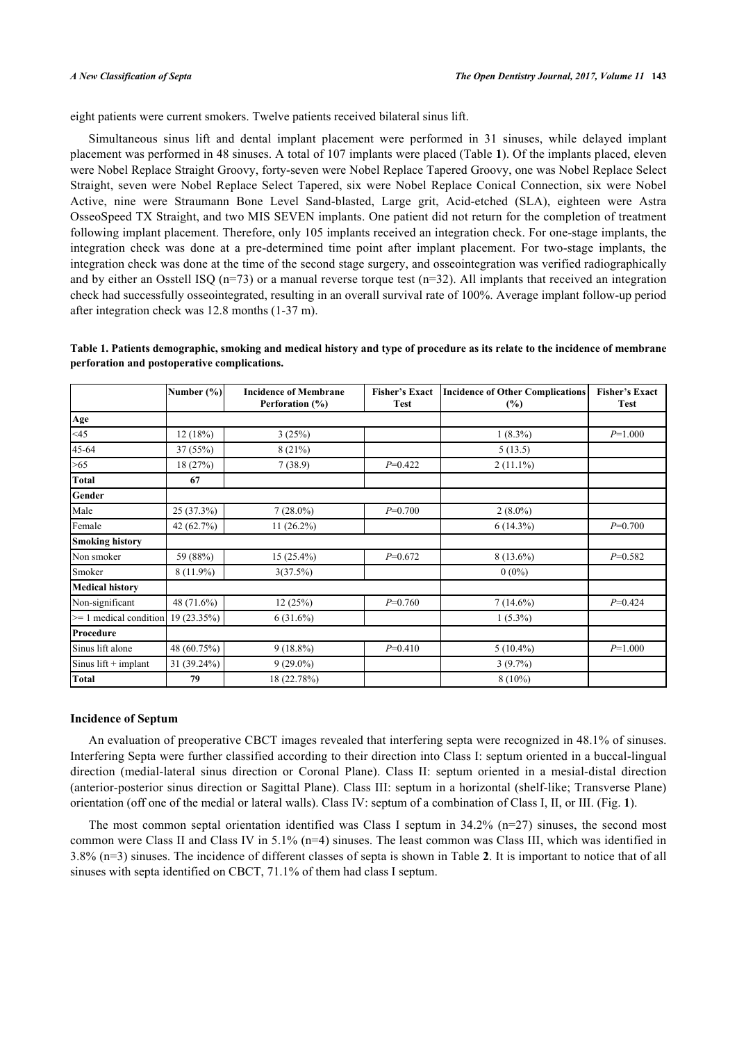eight patients were current smokers. Twelve patients received bilateral sinus lift.

Simultaneous sinus lift and dental implant placement were performed in 31 sinuses, while delayed implant placement was performed in 48 sinuses. A total of 107 implants were placed (Table **[1](#page-3-0)**). Of the implants placed, eleven were Nobel Replace Straight Groovy, forty-seven were Nobel Replace Tapered Groovy, one was Nobel Replace Select Straight, seven were Nobel Replace Select Tapered, six were Nobel Replace Conical Connection, six were Nobel Active, nine were Straumann Bone Level Sand-blasted, Large grit, Acid-etched (SLA), eighteen were Astra OsseoSpeed TX Straight, and two MIS SEVEN implants. One patient did not return for the completion of treatment following implant placement. Therefore, only 105 implants received an integration check. For one-stage implants, the integration check was done at a pre-determined time point after implant placement. For two-stage implants, the integration check was done at the time of the second stage surgery, and osseointegration was verified radiographically and by either an Osstell ISQ ( $n=73$ ) or a manual reverse torque test ( $n=32$ ). All implants that received an integration check had successfully osseointegrated, resulting in an overall survival rate of 100%. Average implant follow-up period after integration check was 12.8 months (1-37 m).

<span id="page-3-0"></span>**Table 1. Patients demographic, smoking and medical history and type of procedure as its relate to the incidence of membrane perforation and postoperative complications.**

|                          | Number $(\%)]$ | <b>Incidence of Membrane</b> | <b>Fisher's Exact</b> | <b>Incidence of Other Complications</b> | <b>Fisher's Exact</b> |
|--------------------------|----------------|------------------------------|-----------------------|-----------------------------------------|-----------------------|
|                          |                | Perforation (%)              | <b>Test</b>           | $(\%)$                                  | <b>Test</b>           |
| Age                      |                |                              |                       |                                         |                       |
| $<$ 45                   | 12 (18%)       | 3(25%)                       |                       | $1(8.3\%)$                              | $P=1.000$             |
| 45-64                    | 37(55%)        | 8(21%)                       |                       | 5(13.5)                                 |                       |
| >65                      | 18(27%)        | 7(38.9)                      | $P=0.422$             | $2(11.1\%)$                             |                       |
| <b>Total</b>             | 67             |                              |                       |                                         |                       |
| Gender                   |                |                              |                       |                                         |                       |
| Male                     | 25 (37.3%)     | $7(28.0\%)$                  | $P=0.700$             | $2(8.0\%)$                              |                       |
| Female                   | 42 (62.7%)     | $11(26.2\%)$                 |                       | $6(14.3\%)$                             | $P=0.700$             |
| <b>Smoking history</b>   |                |                              |                       |                                         |                       |
| Non smoker               | 59 (88%)       | $15(25.4\%)$                 | $P=0.672$             | $8(13.6\%)$                             | $P=0.582$             |
| Smoker                   | $8(11.9\%)$    | 3(37.5%)                     |                       | $0(0\%)$                                |                       |
| <b>Medical history</b>   |                |                              |                       |                                         |                       |
| Non-significant          | 48 (71.6%)     | 12(25%)                      | $P=0.760$             | $7(14.6\%)$                             | $P=0.424$             |
| $>= 1$ medical condition | 19 (23.35%)    | $6(31.6\%)$                  |                       | $1(5.3\%)$                              |                       |
| Procedure                |                |                              |                       |                                         |                       |
| Sinus lift alone         | 48 (60.75%)    | $9(18.8\%)$                  | $P=0.410$             | $5(10.4\%)$                             | $P=1.000$             |
| Sinus $lift + implant$   | 31 (39.24%)    | $9(29.0\%)$                  |                       | $3(9.7\%)$                              |                       |
| Total                    | 79             | 18 (22.78%)                  |                       | $8(10\%)$                               |                       |

#### **Incidence of Septum**

An evaluation of preoperative CBCT images revealed that interfering septa were recognized in 48.1% of sinuses. Interfering Septa were further classified according to their direction into Class I: septum oriented in a buccal-lingual direction (medial-lateral sinus direction or Coronal Plane). Class II: septum oriented in a mesial-distal direction (anterior-posterior sinus direction or Sagittal Plane). Class III: septum in a horizontal (shelf-like; Transverse Plane) orientation (off one of the medial or lateral walls). Class IV: septum of a combination of Class I, II, or III. (Fig. **[1](#page-3-1)**).

<span id="page-3-1"></span>The most common septal orientation identified was Class I septum in  $34.2\%$  (n=27) sinuses, the second most common were Class II and Class IV in 5.1% (n=4) sinuses. The least common was Class III, which was identified in 3.8% (n=3) sinuses. The incidence of different classes of septa is shown in Table **[2](#page-4-0)**. It is important to notice that of all sinuses with septa identified on CBCT, 71.1% of them had class I septum.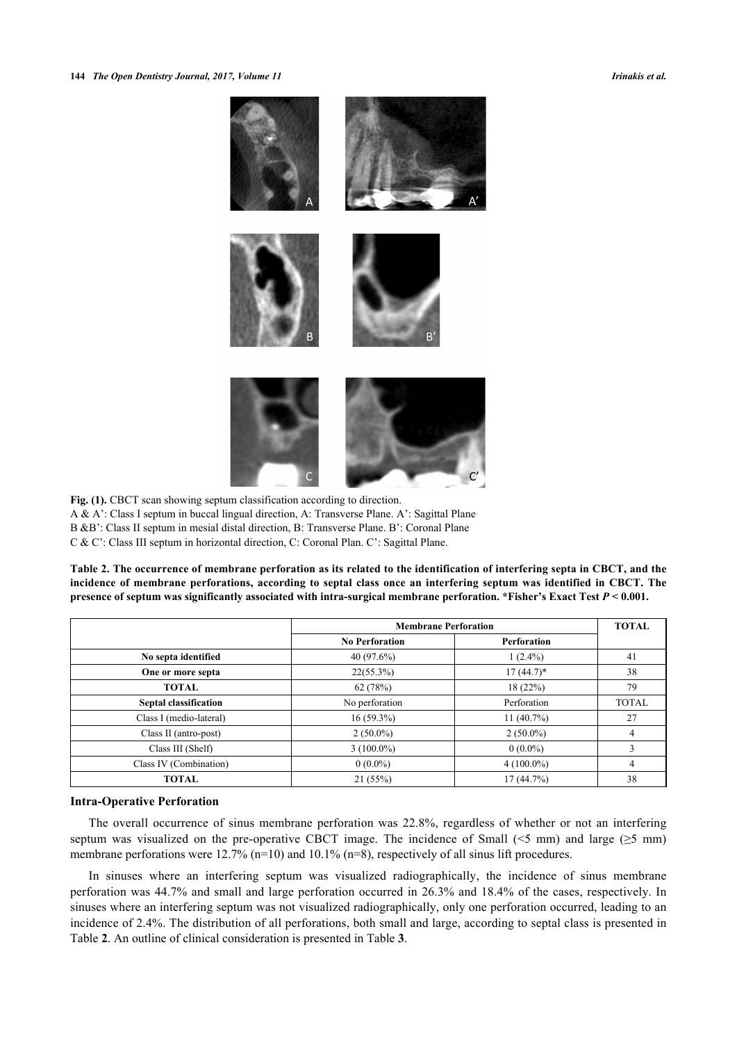

Fig. (1). CBCT scan showing septum classification according to direction.

A & A': Class I septum in buccal lingual direction, A: Transverse Plane. A': Sagittal Plane B &B': Class II septum in mesial distal direction, B: Transverse Plane. B': Coronal Plane

C & C': Class III septum in horizontal direction, C: Coronal Plan. C': Sagittal Plane.

<span id="page-4-0"></span>**Table 2. The occurrence of membrane perforation as its related to the identification of interfering septa in CBCT, and the incidence of membrane perforations, according to septal class once an interfering septum was identified in CBCT. The presence of septum was significantly associated with intra-surgical membrane perforation. \*Fisher's Exact Test**  $P$  **< 0.001.** 

|                              | <b>Membrane Perforation</b> |                    | <b>TOTAL</b> |
|------------------------------|-----------------------------|--------------------|--------------|
|                              | <b>No Perforation</b>       | <b>Perforation</b> |              |
| No septa identified          | 40(97.6%)                   | $1(2.4\%)$         | 41           |
| One or more septa            | $22(55.3\%)$                | $17(44.7)^*$       | 38           |
| <b>TOTAL</b>                 | 62(78%)                     | 18(22%)            | 79           |
| <b>Septal classification</b> | No perforation              | Perforation        | <b>TOTAL</b> |
| Class I (medio-lateral)      | $16(59.3\%)$                | $11(40.7\%)$       | 27           |
| Class II (antro-post)        | $2(50.0\%)$                 | $2(50.0\%)$        | 4            |
| Class III (Shelf)            | $3(100.0\%)$                | $0(0.0\%)$         |              |
| Class IV (Combination)       | $0(0.0\%)$                  | $4(100.0\%)$       | 4            |
| <b>TOTAL</b>                 | 21 (55%)                    | 17(44.7%)          | 38           |

#### **Intra-Operative Perforation**

The overall occurrence of sinus membrane perforation was 22.8%, regardless of whether or not an interfering septum was visualized on the pre-operative CBCT image. The incidence of Small ( $\leq$ 5 mm) and large ( $\geq$ 5 mm) membrane perforations were 12.7% (n=10) and 10.1% (n=8), respectively of all sinus lift procedures.

<span id="page-4-1"></span>In sinuses where an interfering septum was visualized radiographically, the incidence of sinus membrane perforation was 44.7% and small and large perforation occurred in 26.3% and 18.4% of the cases, respectively. In sinuses where an interfering septum was not visualized radiographically, only one perforation occurred, leading to an incidence of 2.4%. The distribution of all perforations, both small and large, according to septal class is presented in Table **[2](#page-4-0)**. An outline of clinical consideration is presented in Table **[3](#page-4-1)**.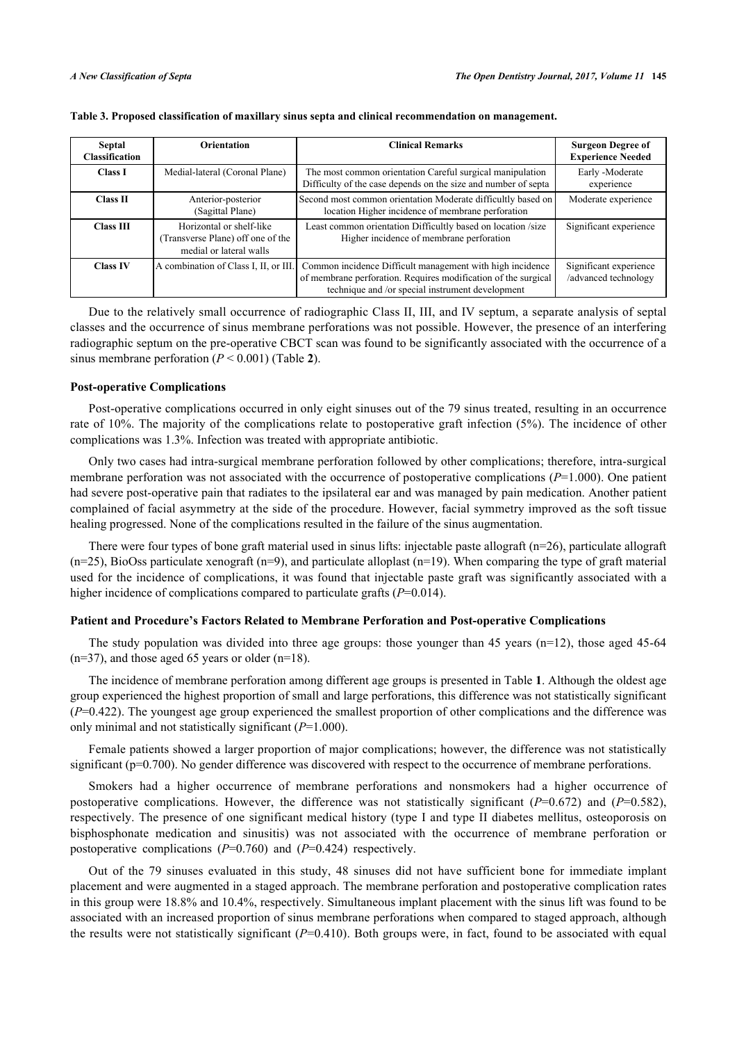| <b>Septal</b><br><b>Classification</b> | <b>Orientation</b>                                                                       | <b>Clinical Remarks</b>                                                                                                                                                         | <b>Surgeon Degree of</b><br><b>Experience Needed</b> |
|----------------------------------------|------------------------------------------------------------------------------------------|---------------------------------------------------------------------------------------------------------------------------------------------------------------------------------|------------------------------------------------------|
| <b>Class I</b>                         | Medial-lateral (Coronal Plane)                                                           | The most common orientation Careful surgical manipulation<br>Difficulty of the case depends on the size and number of septa                                                     | Early -Moderate<br>experience                        |
| <b>Class II</b>                        | Anterior-posterior<br>(Sagittal Plane)                                                   | Second most common orientation Moderate difficultly based on<br>location Higher incidence of membrane perforation                                                               | Moderate experience                                  |
| <b>Class III</b>                       | Horizontal or shelf-like<br>(Transverse Plane) off one of the<br>medial or lateral walls | Least common orientation Difficultly based on location /size<br>Higher incidence of membrane perforation                                                                        | Significant experience                               |
| <b>Class IV</b>                        | A combination of Class I, II, or III.                                                    | Common incidence Difficult management with high incidence<br>of membrane perforation. Requires modification of the surgical<br>technique and /or special instrument development | Significant experience<br>/advanced technology       |

#### **Table 3. Proposed classification of maxillary sinus septa and clinical recommendation on management.**

Due to the relatively small occurrence of radiographic Class II, III, and IV septum, a separate analysis of septal classes and the occurrence of sinus membrane perforations was not possible. However, the presence of an interfering radiographic septum on the pre-operative CBCT scan was found to be significantly associated with the occurrence of a sinus membrane perforation  $(P < 0.001)$  (Table [2](#page-4-0)).

#### **Post-operative Complications**

Post-operative complications occurred in only eight sinuses out of the 79 sinus treated, resulting in an occurrence rate of 10%. The majority of the complications relate to postoperative graft infection (5%). The incidence of other complications was 1.3%. Infection was treated with appropriate antibiotic.

Only two cases had intra-surgical membrane perforation followed by other complications; therefore, intra-surgical membrane perforation was not associated with the occurrence of postoperative complications (*P*=1.000). One patient had severe post-operative pain that radiates to the ipsilateral ear and was managed by pain medication. Another patient complained of facial asymmetry at the side of the procedure. However, facial symmetry improved as the soft tissue healing progressed. None of the complications resulted in the failure of the sinus augmentation.

There were four types of bone graft material used in sinus lifts: injectable paste allograft  $(n=26)$ , particulate allograft  $(n=25)$ , BioOss particulate xenograft  $(n=9)$ , and particulate alloplast  $(n=19)$ . When comparing the type of graft material used for the incidence of complications, it was found that injectable paste graft was significantly associated with a higher incidence of complications compared to particulate grafts ( $P=0.014$ ).

#### **Patient and Procedure's Factors Related to Membrane Perforation and Post-operative Complications**

The study population was divided into three age groups: those younger than 45 years ( $n=12$ ), those aged 45-64  $(n=37)$ , and those aged 65 years or older  $(n=18)$ .

The incidence of membrane perforation among different age groups is presented in Table **[1](#page-3-0)**. Although the oldest age group experienced the highest proportion of small and large perforations, this difference was not statistically significant (*P*=0.422). The youngest age group experienced the smallest proportion of other complications and the difference was only minimal and not statistically significant (*P*=1.000).

Female patients showed a larger proportion of major complications; however, the difference was not statistically significant (p=0.700). No gender difference was discovered with respect to the occurrence of membrane perforations.

Smokers had a higher occurrence of membrane perforations and nonsmokers had a higher occurrence of postoperative complications. However, the difference was not statistically significant (*P*=0.672) and (*P*=0.582), respectively. The presence of one significant medical history (type I and type II diabetes mellitus, osteoporosis on bisphosphonate medication and sinusitis) was not associated with the occurrence of membrane perforation or postoperative complications (*P*=0.760) and (*P*=0.424) respectively.

Out of the 79 sinuses evaluated in this study, 48 sinuses did not have sufficient bone for immediate implant placement and were augmented in a staged approach. The membrane perforation and postoperative complication rates in this group were 18.8% and 10.4%, respectively. Simultaneous implant placement with the sinus lift was found to be associated with an increased proportion of sinus membrane perforations when compared to staged approach, although the results were not statistically significant  $(P=0.410)$ . Both groups were, in fact, found to be associated with equal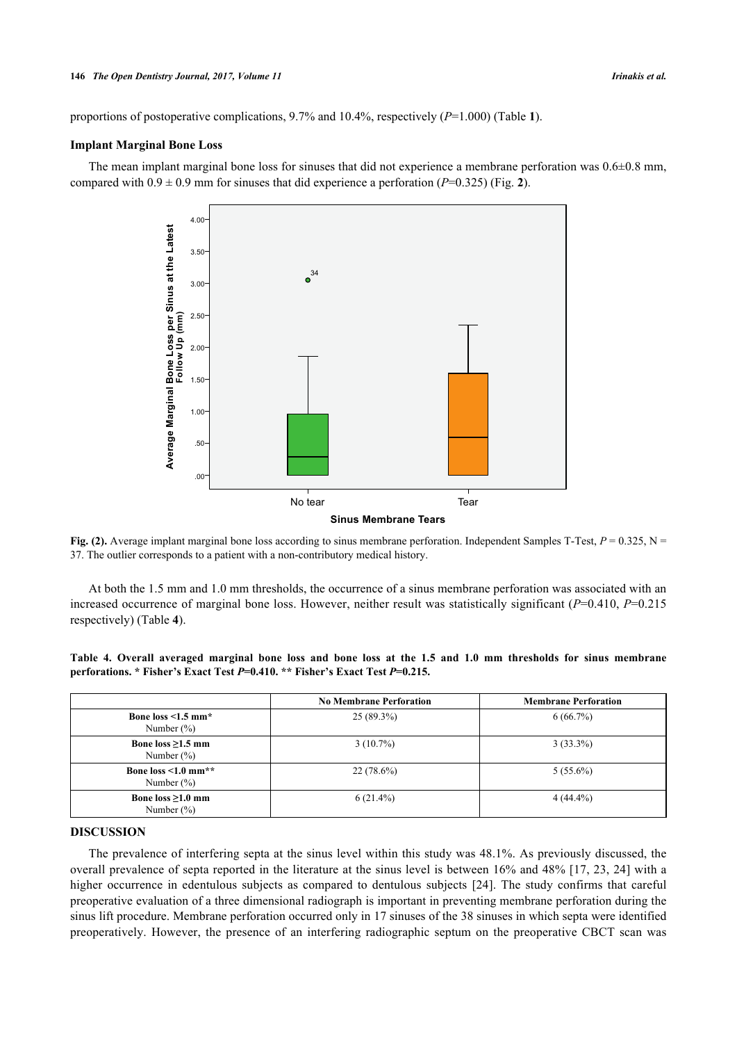proportions of postoperative complications, 9.7% and 10.4%, respectively (*P*=1.000) (Table **[1](#page-3-0)**).

#### **Implant Marginal Bone Loss**

<span id="page-6-0"></span>The mean implant marginal bone loss for sinuses that did not experience a membrane perforation was  $0.6\pm0.8$  mm, compared with  $0.9 \pm 0.9$  mm for sinuses that did experience a perforation ( $P=0.325$  $P=0.325$  $P=0.325$ ) (Fig. 2).



**Fig. (2).** Average implant marginal bone loss according to sinus membrane perforation. Independent Samples T-Test,  $P = 0.325$ , N = 37. The outlier corresponds to a patient with a non-contributory medical history.

At both the 1.5 mm and 1.0 mm thresholds, the occurrence of a sinus membrane perforation was associated with an increased occurrence of marginal bone loss. However, neither result was statistically significant (*P*=0.410, *P*=0.215 respectively) (Table **[4](#page-6-1)**).

<span id="page-6-1"></span>**Table 4. Overall averaged marginal bone loss and bone loss at the 1.5 and 1.0 mm thresholds for sinus membrane perforations. \* Fisher's Exact Test** *P***=0.410. \*\* Fisher's Exact Test** *P***=0.215.**

|                                                       | <b>No Membrane Perforation</b> | <b>Membrane Perforation</b> |
|-------------------------------------------------------|--------------------------------|-----------------------------|
| Bone loss $\leq 1.5$ mm <sup>*</sup><br>Number $(\%)$ | $25(89.3\%)$                   | $6(66.7\%)$                 |
| Bone loss $\geq 1.5$ mm<br>Number $(\%)$              | $3(10.7\%)$                    | $3(33.3\%)$                 |
| Bone loss $\leq 1.0$ mm**<br>Number $(\%)$            | $22(78.6\%)$                   | $5(55.6\%)$                 |
| Bone loss $\geq 1.0$ mm<br>Number $(\%)$              | $6(21.4\%)$                    | $4(44.4\%)$                 |

### **DISCUSSION**

The prevalence of interfering septa at the sinus level within this study was 48.1%. As previously discussed, the overall prevalence of septa reported in the literature at the sinus level is between 16% and 48% [[17,](#page-9-7) [23,](#page-9-13) [24\]](#page-10-0) with a higher occurrence in edentulous subjects as compared to dentulous subjects[[24](#page-10-0)]. The study confirms that careful preoperative evaluation of a three dimensional radiograph is important in preventing membrane perforation during the sinus lift procedure. Membrane perforation occurred only in 17 sinuses of the 38 sinuses in which septa were identified preoperatively. However, the presence of an interfering radiographic septum on the preoperative CBCT scan was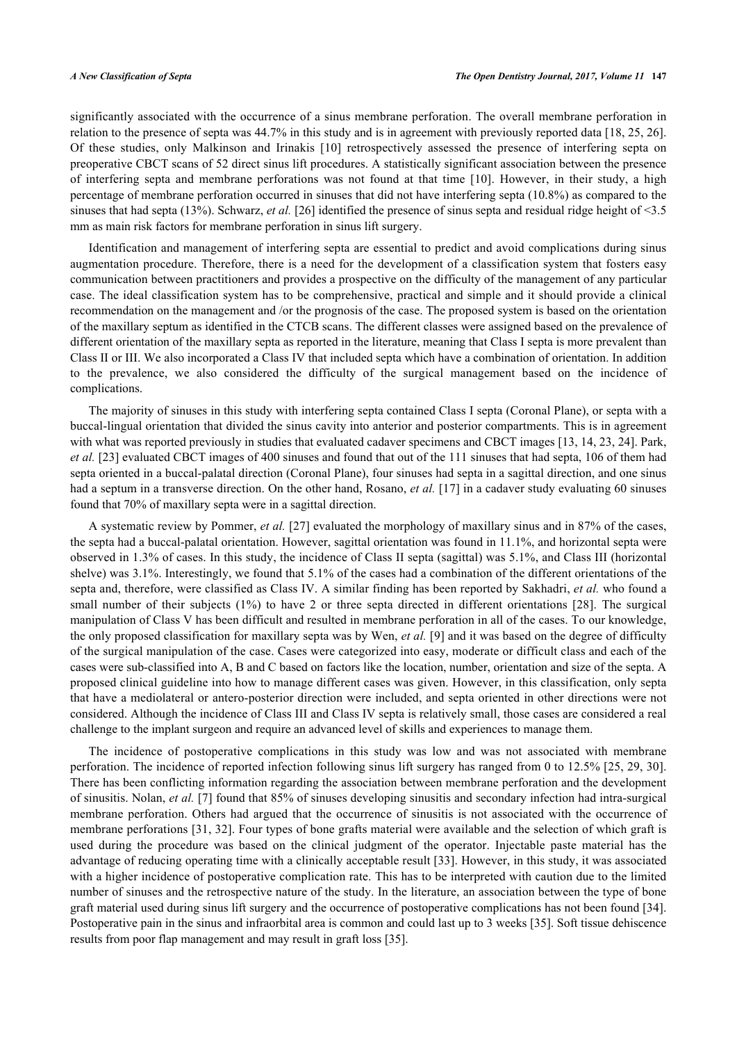significantly associated with the occurrence of a sinus membrane perforation. The overall membrane perforation in relation to the presence of septa was 44.7% in this study and is in agreement with previously reported data [\[18](#page-9-8), [25,](#page-10-1) [26\]](#page-10-2). Of these studies, only Malkinson and Irinakis [\[10](#page-9-5)] retrospectively assessed the presence of interfering septa on preoperative CBCT scans of 52 direct sinus lift procedures. A statistically significant association between the presence of interfering septa and membrane perforations was not found at that time [\[10\]](#page-9-5). However, in their study, a high percentage of membrane perforation occurred in sinuses that did not have interfering septa (10.8%) as compared to the sinuses that had septa (13%). Schwarz, *et al.* [\[26](#page-10-2)] identified the presence of sinus septa and residual ridge height of <3.5 mm as main risk factors for membrane perforation in sinus lift surgery.

Identification and management of interfering septa are essential to predict and avoid complications during sinus augmentation procedure. Therefore, there is a need for the development of a classification system that fosters easy communication between practitioners and provides a prospective on the difficulty of the management of any particular case. The ideal classification system has to be comprehensive, practical and simple and it should provide a clinical recommendation on the management and /or the prognosis of the case. The proposed system is based on the orientation of the maxillary septum as identified in the CTCB scans. The different classes were assigned based on the prevalence of different orientation of the maxillary septa as reported in the literature, meaning that Class I septa is more prevalent than Class II or III. We also incorporated a Class IV that included septa which have a combination of orientation. In addition to the prevalence, we also considered the difficulty of the surgical management based on the incidence of complications.

The majority of sinuses in this study with interfering septa contained Class I septa (Coronal Plane), or septa with a buccal-lingual orientation that divided the sinus cavity into anterior and posterior compartments. This is in agreement with what was reported previously in studies that evaluated cadaver specimens and CBCT images [\[13](#page-9-14), [14](#page-9-15), [23](#page-9-13), [24](#page-10-0)]. Park, *et al.* [[23\]](#page-9-13) evaluated CBCT images of 400 sinuses and found that out of the 111 sinuses that had septa, 106 of them had septa oriented in a buccal-palatal direction (Coronal Plane), four sinuses had septa in a sagittal direction, and one sinus had a septum in a transverse direction. On the other hand, Rosano, *et al.* [[17](#page-9-7)] in a cadaver study evaluating 60 sinuses found that 70% of maxillary septa were in a sagittal direction.

A systematic review by Pommer, *et al.* [[27](#page-10-3)] evaluated the morphology of maxillary sinus and in 87% of the cases, the septa had a buccal-palatal orientation. However, sagittal orientation was found in 11.1%, and horizontal septa were observed in 1.3% of cases. In this study, the incidence of Class II septa (sagittal) was 5.1%, and Class III (horizontal shelve) was 3.1%. Interestingly, we found that 5.1% of the cases had a combination of the different orientations of the septa and, therefore, were classified as Class IV. A similar finding has been reported by Sakhadri, *et al.* who found a small number of their subjects (1%) to have 2 or three septa directed in different orientations[[28](#page-10-4)]. The surgical manipulation of Class V has been difficult and resulted in membrane perforation in all of the cases. To our knowledge, the only proposed classification for maxillary septa was by Wen, *et al.* [[9\]](#page-9-4) and it was based on the degree of difficulty of the surgical manipulation of the case. Cases were categorized into easy, moderate or difficult class and each of the cases were sub-classified into A, B and C based on factors like the location, number, orientation and size of the septa. A proposed clinical guideline into how to manage different cases was given. However, in this classification, only septa that have a mediolateral or antero-posterior direction were included, and septa oriented in other directions were not considered. Although the incidence of Class III and Class IV septa is relatively small, those cases are considered a real challenge to the implant surgeon and require an advanced level of skills and experiences to manage them.

The incidence of postoperative complications in this study was low and was not associated with membrane perforation. The incidence of reported infection following sinus lift surgery has ranged from 0 to 12.5% [\[25](#page-10-1), [29](#page-10-5), [30\]](#page-10-6). There has been conflicting information regarding the association between membrane perforation and the development of sinusitis. Nolan, *et al.* [\[7](#page-9-2)] found that 85% of sinuses developing sinusitis and secondary infection had intra-surgical membrane perforation. Others had argued that the occurrence of sinusitis is not associated with the occurrence of membrane perforations [\[31](#page-10-7), [32](#page-10-8)]. Four types of bone grafts material were available and the selection of which graft is used during the procedure was based on the clinical judgment of the operator. Injectable paste material has the advantage of reducing operating time with a clinically acceptable result [[33](#page-10-9)]. However, in this study, it was associated with a higher incidence of postoperative complication rate. This has to be interpreted with caution due to the limited number of sinuses and the retrospective nature of the study. In the literature, an association between the type of bone graft material used during sinus lift surgery and the occurrence of postoperative complications has not been found [[34\]](#page-10-10). Postoperative pain in the sinus and infraorbital area is common and could last up to 3 weeks [[35\]](#page-10-11). Soft tissue dehiscence results from poor flap management and may result in graft loss [\[35](#page-10-11)].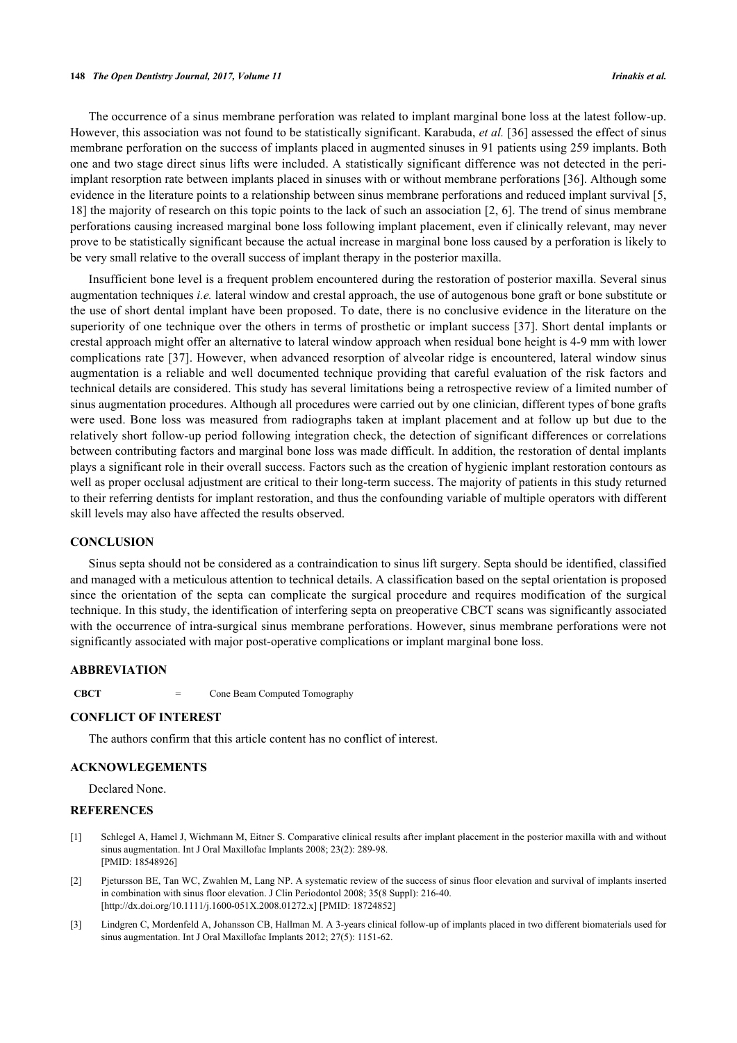The occurrence of a sinus membrane perforation was related to implant marginal bone loss at the latest follow-up. However, this association was not found to be statistically significant. Karabuda, *et al.* [\[36](#page-10-12)] assessed the effect of sinus membrane perforation on the success of implants placed in augmented sinuses in 91 patients using 259 implants. Both one and two stage direct sinus lifts were included. A statistically significant difference was not detected in the periimplant resorption rate between implants placed in sinuses with or without membrane perforations [[36\]](#page-10-12). Although some evidence in the literature points to a relationship between sinus membrane perforations and reduced implant survival [[5](#page-9-1), [18\]](#page-9-8) the majority of research on this topic points to the lack of such an association [[2](#page-8-1), [6](#page-9-11)]. The trend of sinus membrane perforations causing increased marginal bone loss following implant placement, even if clinically relevant, may never prove to be statistically significant because the actual increase in marginal bone loss caused by a perforation is likely to be very small relative to the overall success of implant therapy in the posterior maxilla.

Insufficient bone level is a frequent problem encountered during the restoration of posterior maxilla. Several sinus augmentation techniques *i.e.* lateral window and crestal approach, the use of autogenous bone graft or bone substitute or the use of short dental implant have been proposed. To date, there is no conclusive evidence in the literature on the superiority of one technique over the others in terms of prosthetic or implant success [[37\]](#page-10-13). Short dental implants or crestal approach might offer an alternative to lateral window approach when residual bone height is 4-9 mm with lower complications rate [\[37\]](#page-10-13). However, when advanced resorption of alveolar ridge is encountered, lateral window sinus augmentation is a reliable and well documented technique providing that careful evaluation of the risk factors and technical details are considered. This study has several limitations being a retrospective review of a limited number of sinus augmentation procedures. Although all procedures were carried out by one clinician, different types of bone grafts were used. Bone loss was measured from radiographs taken at implant placement and at follow up but due to the relatively short follow-up period following integration check, the detection of significant differences or correlations between contributing factors and marginal bone loss was made difficult. In addition, the restoration of dental implants plays a significant role in their overall success. Factors such as the creation of hygienic implant restoration contours as well as proper occlusal adjustment are critical to their long-term success. The majority of patients in this study returned to their referring dentists for implant restoration, and thus the confounding variable of multiple operators with different skill levels may also have affected the results observed.

#### **CONCLUSION**

Sinus septa should not be considered as a contraindication to sinus lift surgery. Septa should be identified, classified and managed with a meticulous attention to technical details. A classification based on the septal orientation is proposed since the orientation of the septa can complicate the surgical procedure and requires modification of the surgical technique. In this study, the identification of interfering septa on preoperative CBCT scans was significantly associated with the occurrence of intra-surgical sinus membrane perforations. However, sinus membrane perforations were not significantly associated with major post-operative complications or implant marginal bone loss.

#### **ABBREVIATION**

**CBCT** = Cone Beam Computed Tomography

# **CONFLICT OF INTEREST**

The authors confirm that this article content has no conflict of interest.

# **ACKNOWLEGEMENTS**

Declared None.

# **REFERENCES**

- <span id="page-8-0"></span>[1] Schlegel A, Hamel J, Wichmann M, Eitner S. Comparative clinical results after implant placement in the posterior maxilla with and without sinus augmentation. Int J Oral Maxillofac Implants 2008; 23(2): 289-98. [PMID: [18548926\]](http://www.ncbi.nlm.nih.gov/pubmed/18548926)
- <span id="page-8-1"></span>[2] Pjetursson BE, Tan WC, Zwahlen M, Lang NP. A systematic review of the success of sinus floor elevation and survival of implants inserted in combination with sinus floor elevation. J Clin Periodontol 2008; 35(8 Suppl): 216-40. [\[http://dx.doi.org/10.1111/j.1600-051X.2008.01272.x](http://dx.doi.org/10.1111/j.1600-051X.2008.01272.x)] [PMID: [18724852](http://www.ncbi.nlm.nih.gov/pubmed/18724852)]
- [3] Lindgren C, Mordenfeld A, Johansson CB, Hallman M. A 3-years clinical follow-up of implants placed in two different biomaterials used for sinus augmentation. Int J Oral Maxillofac Implants 2012; 27(5): 1151-62.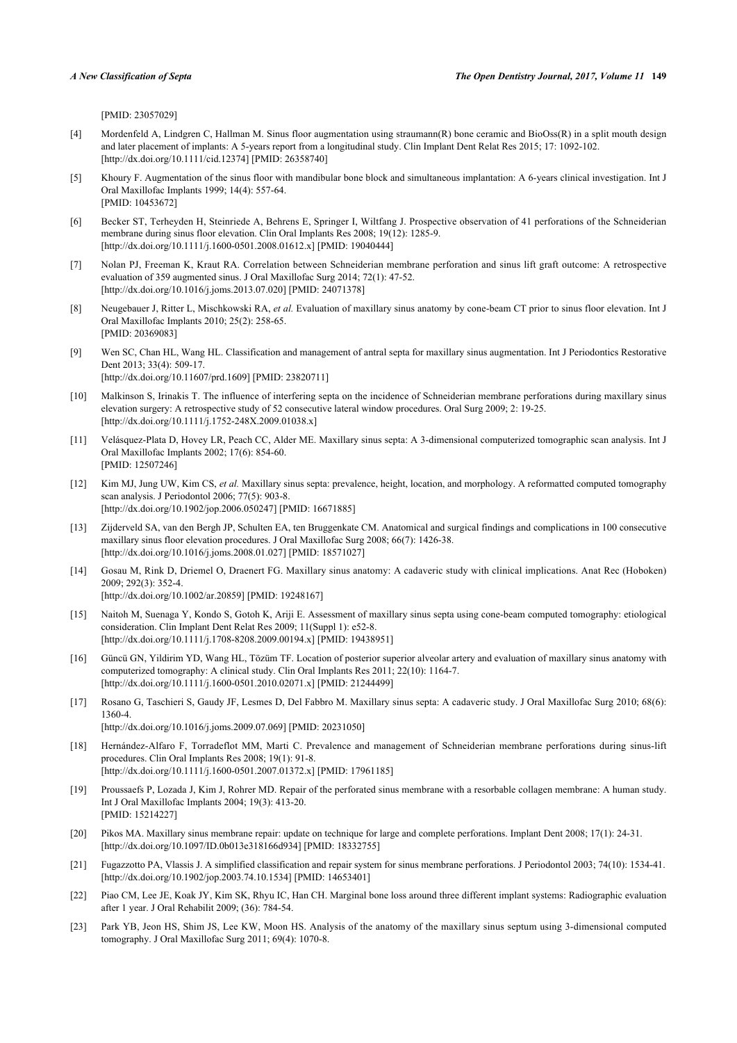[PMID: [23057029\]](http://www.ncbi.nlm.nih.gov/pubmed/23057029)

- <span id="page-9-0"></span>[4] Mordenfeld A, Lindgren C, Hallman M. Sinus floor augmentation using straumann(R) bone ceramic and BioOss(R) in a split mouth design and later placement of implants: A 5-years report from a longitudinal study. Clin Implant Dent Relat Res 2015; 17: 1092-102. [\[http://dx.doi.org/10.1111/cid.12374\]](http://dx.doi.org/10.1111/cid.12374) [PMID: [26358740](http://www.ncbi.nlm.nih.gov/pubmed/26358740)]
- <span id="page-9-1"></span>[5] Khoury F. Augmentation of the sinus floor with mandibular bone block and simultaneous implantation: A 6-years clinical investigation. Int J Oral Maxillofac Implants 1999; 14(4): 557-64. [PMID: [10453672\]](http://www.ncbi.nlm.nih.gov/pubmed/10453672)
- <span id="page-9-11"></span>[6] Becker ST, Terheyden H, Steinriede A, Behrens E, Springer I, Wiltfang J. Prospective observation of 41 perforations of the Schneiderian membrane during sinus floor elevation. Clin Oral Implants Res 2008; 19(12): 1285-9. [\[http://dx.doi.org/10.1111/j.1600-0501.2008.01612.x\]](http://dx.doi.org/10.1111/j.1600-0501.2008.01612.x) [PMID: [19040444](http://www.ncbi.nlm.nih.gov/pubmed/19040444)]
- <span id="page-9-2"></span>[7] Nolan PJ, Freeman K, Kraut RA. Correlation between Schneiderian membrane perforation and sinus lift graft outcome: A retrospective evaluation of 359 augmented sinus. J Oral Maxillofac Surg 2014; 72(1): 47-52. [\[http://dx.doi.org/10.1016/j.joms.2013.07.020\]](http://dx.doi.org/10.1016/j.joms.2013.07.020) [PMID: [24071378](http://www.ncbi.nlm.nih.gov/pubmed/24071378)]
- <span id="page-9-3"></span>[8] Neugebauer J, Ritter L, Mischkowski RA, *et al.* Evaluation of maxillary sinus anatomy by cone-beam CT prior to sinus floor elevation. Int J Oral Maxillofac Implants 2010; 25(2): 258-65. [PMID: [20369083\]](http://www.ncbi.nlm.nih.gov/pubmed/20369083)
- <span id="page-9-4"></span>[9] Wen SC, Chan HL, Wang HL. Classification and management of antral septa for maxillary sinus augmentation. Int J Periodontics Restorative Dent 2013; 33(4): 509-17. [\[http://dx.doi.org/10.11607/prd.1609](http://dx.doi.org/10.11607/prd.1609)] [PMID: [23820711](http://www.ncbi.nlm.nih.gov/pubmed/23820711)]
- <span id="page-9-5"></span>[10] Malkinson S, Irinakis T. The influence of interfering septa on the incidence of Schneiderian membrane perforations during maxillary sinus elevation surgery: A retrospective study of 52 consecutive lateral window procedures. Oral Surg 2009; 2: 19-25. [\[http://dx.doi.org/10.1111/j.1752-248X.2009.01038.x](http://dx.doi.org/10.1111/j.1752-248X.2009.01038.x)]
- <span id="page-9-6"></span>[11] Velásquez-Plata D, Hovey LR, Peach CC, Alder ME. Maxillary sinus septa: A 3-dimensional computerized tomographic scan analysis. Int J Oral Maxillofac Implants 2002; 17(6): 854-60. [PMID: [12507246\]](http://www.ncbi.nlm.nih.gov/pubmed/12507246)
- [12] Kim MJ, Jung UW, Kim CS, *et al.* Maxillary sinus septa: prevalence, height, location, and morphology. A reformatted computed tomography scan analysis. J Periodontol 2006; 77(5): 903-8. [\[http://dx.doi.org/10.1902/jop.2006.050247](http://dx.doi.org/10.1902/jop.2006.050247)] [PMID: [16671885\]](http://www.ncbi.nlm.nih.gov/pubmed/16671885)
- <span id="page-9-14"></span>[13] Zijderveld SA, van den Bergh JP, Schulten EA, ten Bruggenkate CM. Anatomical and surgical findings and complications in 100 consecutive maxillary sinus floor elevation procedures. J Oral Maxillofac Surg 2008; 66(7): 1426-38. [\[http://dx.doi.org/10.1016/j.joms.2008.01.027\]](http://dx.doi.org/10.1016/j.joms.2008.01.027) [PMID: [18571027](http://www.ncbi.nlm.nih.gov/pubmed/18571027)]
- <span id="page-9-15"></span>[14] Gosau M, Rink D, Driemel O, Draenert FG. Maxillary sinus anatomy: A cadaveric study with clinical implications. Anat Rec (Hoboken) 2009; 292(3): 352-4. [\[http://dx.doi.org/10.1002/ar.20859](http://dx.doi.org/10.1002/ar.20859)] [PMID: [19248167\]](http://www.ncbi.nlm.nih.gov/pubmed/19248167)
- [15] Naitoh M, Suenaga Y, Kondo S, Gotoh K, Ariji E. Assessment of maxillary sinus septa using cone-beam computed tomography: etiological consideration. Clin Implant Dent Relat Res 2009; 11(Suppl 1): e52-8. [\[http://dx.doi.org/10.1111/j.1708-8208.2009.00194.x\]](http://dx.doi.org/10.1111/j.1708-8208.2009.00194.x) [PMID: [19438951](http://www.ncbi.nlm.nih.gov/pubmed/19438951)]
- [16] Güncü GN, Yildirim YD, Wang HL, Tözüm TF. Location of posterior superior alveolar artery and evaluation of maxillary sinus anatomy with computerized tomography: A clinical study. Clin Oral Implants Res 2011; 22(10): 1164-7. [\[http://dx.doi.org/10.1111/j.1600-0501.2010.02071.x\]](http://dx.doi.org/10.1111/j.1600-0501.2010.02071.x) [PMID: [21244499](http://www.ncbi.nlm.nih.gov/pubmed/21244499)]
- <span id="page-9-7"></span>[17] Rosano G, Taschieri S, Gaudy JF, Lesmes D, Del Fabbro M. Maxillary sinus septa: A cadaveric study. J Oral Maxillofac Surg 2010; 68(6): 1360-4. [\[http://dx.doi.org/10.1016/j.joms.2009.07.069\]](http://dx.doi.org/10.1016/j.joms.2009.07.069) [PMID: [20231050](http://www.ncbi.nlm.nih.gov/pubmed/20231050)]
- <span id="page-9-8"></span>[18] Hernández-Alfaro F, Torradeflot MM, Marti C. Prevalence and management of Schneiderian membrane perforations during sinus-lift procedures. Clin Oral Implants Res 2008; 19(1): 91-8. [\[http://dx.doi.org/10.1111/j.1600-0501.2007.01372.x\]](http://dx.doi.org/10.1111/j.1600-0501.2007.01372.x) [PMID: [17961185](http://www.ncbi.nlm.nih.gov/pubmed/17961185)]
- <span id="page-9-9"></span>[19] Proussaefs P, Lozada J, Kim J, Rohrer MD. Repair of the perforated sinus membrane with a resorbable collagen membrane: A human study. Int J Oral Maxillofac Implants 2004; 19(3): 413-20. [PMID: [15214227\]](http://www.ncbi.nlm.nih.gov/pubmed/15214227)
- [20] Pikos MA. Maxillary sinus membrane repair: update on technique for large and complete perforations. Implant Dent 2008; 17(1): 24-31. [\[http://dx.doi.org/10.1097/ID.0b013e318166d934\]](http://dx.doi.org/10.1097/ID.0b013e318166d934) [PMID: [18332755](http://www.ncbi.nlm.nih.gov/pubmed/18332755)]
- <span id="page-9-10"></span>[21] Fugazzotto PA, Vlassis J. A simplified classification and repair system for sinus membrane perforations. J Periodontol 2003; 74(10): 1534-41. [\[http://dx.doi.org/10.1902/jop.2003.74.10.1534](http://dx.doi.org/10.1902/jop.2003.74.10.1534)] [PMID: [14653401\]](http://www.ncbi.nlm.nih.gov/pubmed/14653401)
- <span id="page-9-12"></span>[22] Piao CM, Lee JE, Koak JY, Kim SK, Rhyu IC, Han CH. Marginal bone loss around three different implant systems: Radiographic evaluation after 1 year. J Oral Rehabilit 2009; (36): 784-54.
- <span id="page-9-13"></span>[23] Park YB, Jeon HS, Shim JS, Lee KW, Moon HS. Analysis of the anatomy of the maxillary sinus septum using 3-dimensional computed tomography. J Oral Maxillofac Surg 2011; 69(4): 1070-8.